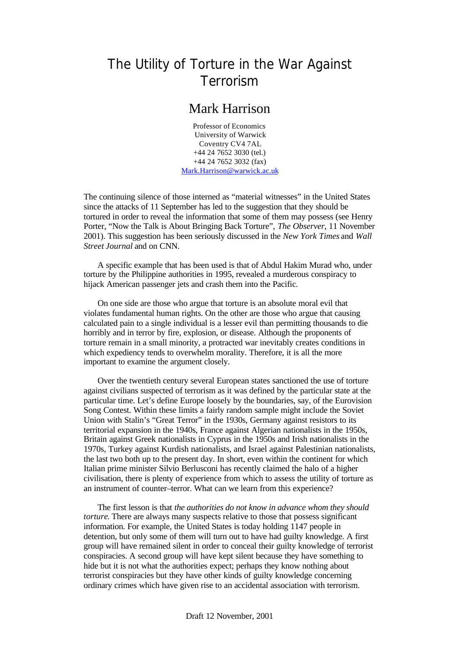## The Utility of Torture in the War Against Terrorism

## Mark Harrison

Professor of Economics University of Warwick Coventry CV4 7AL +44 24 7652 3030 (tel.) +44 24 7652 3032 (fax) Mark.Harrison@warwick.ac.uk

The continuing silence of those interned as "material witnesses" in the United States since the attacks of 11 September has led to the suggestion that they should be tortured in order to reveal the information that some of them may possess (see Henry Porter, "Now the Talk is About Bringing Back Torture", *The Observer*, 11 November 2001). This suggestion has been seriously discussed in the *New York Times* and *Wall Street Journal* and on CNN.

A specific example that has been used is that of Abdul Hakim Murad who, under torture by the Philippine authorities in 1995, revealed a murderous conspiracy to hijack American passenger jets and crash them into the Pacific.

On one side are those who argue that torture is an absolute moral evil that violates fundamental human rights. On the other are those who argue that causing calculated pain to a single individual is a lesser evil than permitting thousands to die horribly and in terror by fire, explosion, or disease. Although the proponents of torture remain in a small minority, a protracted war inevitably creates conditions in which expediency tends to overwhelm morality. Therefore, it is all the more important to examine the argument closely.

Over the twentieth century several European states sanctioned the use of torture against civilians suspected of terrorism as it was defined by the particular state at the particular time. Let's define Europe loosely by the boundaries, say, of the Eurovision Song Contest. Within these limits a fairly random sample might include the Soviet Union with Stalin's "Great Terror" in the 1930s, Germany against resistors to its territorial expansion in the 1940s, France against Algerian nationalists in the 1950s, Britain against Greek nationalists in Cyprus in the 1950s and Irish nationalists in the 1970s, Turkey against Kurdish nationalists, and Israel against Palestinian nationalists, the last two both up to the present day. In short, even within the continent for which Italian prime minister Silvio Berlusconi has recently claimed the halo of a higher civilisation, there is plenty of experience from which to assess the utility of torture as an instrument of counter–terror. What can we learn from this experience?

The first lesson is that *the authorities do not know in advance whom they should torture*. There are always many suspects relative to those that possess significant information. For example, the United States is today holding 1147 people in detention, but only some of them will turn out to have had guilty knowledge. A first group will have remained silent in order to conceal their guilty knowledge of terrorist conspiracies. A second group will have kept silent because they have something to hide but it is not what the authorities expect; perhaps they know nothing about terrorist conspiracies but they have other kinds of guilty knowledge concerning ordinary crimes which have given rise to an accidental association with terrorism.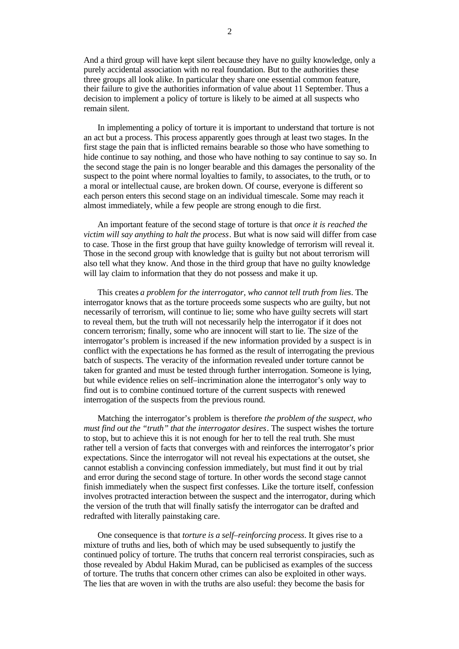And a third group will have kept silent because they have no guilty knowledge, only a purely accidental association with no real foundation. But to the authorities these three groups all look alike. In particular they share one essential common feature, their failure to give the authorities information of value about 11 September. Thus a decision to implement a policy of torture is likely to be aimed at all suspects who remain silent.

In implementing a policy of torture it is important to understand that torture is not an act but a process. This process apparently goes through at least two stages. In the first stage the pain that is inflicted remains bearable so those who have something to hide continue to say nothing, and those who have nothing to say continue to say so. In the second stage the pain is no longer bearable and this damages the personality of the suspect to the point where normal loyalties to family, to associates, to the truth, or to a moral or intellectual cause, are broken down. Of course, everyone is different so each person enters this second stage on an individual timescale. Some may reach it almost immediately, while a few people are strong enough to die first.

An important feature of the second stage of torture is that *once it is reached the victim will say anything to halt the process*. But what is now said will differ from case to case. Those in the first group that have guilty knowledge of terrorism will reveal it. Those in the second group with knowledge that is guilty but not about terrorism will also tell what they know. And those in the third group that have no guilty knowledge will lay claim to information that they do not possess and make it up.

This creates *a problem for the interrogator, who cannot tell truth from lies*. The interrogator knows that as the torture proceeds some suspects who are guilty, but not necessarily of terrorism, will continue to lie; some who have guilty secrets will start to reveal them, but the truth will not necessarily help the interrogator if it does not concern terrorism; finally, some who are innocent will start to lie. The size of the interrogator's problem is increased if the new information provided by a suspect is in conflict with the expectations he has formed as the result of interrogating the previous batch of suspects. The veracity of the information revealed under torture cannot be taken for granted and must be tested through further interrogation. Someone is lying, but while evidence relies on self–incrimination alone the interrogator's only way to find out is to combine continued torture of the current suspects with renewed interrogation of the suspects from the previous round.

Matching the interrogator's problem is therefore *the problem of the suspect, who must find out the "truth" that the interrogator desires*. The suspect wishes the torture to stop, but to achieve this it is not enough for her to tell the real truth. She must rather tell a version of facts that converges with and reinforces the interrogator's prior expectations. Since the interrogator will not reveal his expectations at the outset, she cannot establish a convincing confession immediately, but must find it out by trial and error during the second stage of torture. In other words the second stage cannot finish immediately when the suspect first confesses. Like the torture itself, confession involves protracted interaction between the suspect and the interrogator, during which the version of the truth that will finally satisfy the interrogator can be drafted and redrafted with literally painstaking care.

One consequence is that *torture is a self–reinforcing process*. It gives rise to a mixture of truths and lies, both of which may be used subsequently to justify the continued policy of torture. The truths that concern real terrorist conspiracies, such as those revealed by Abdul Hakim Murad, can be publicised as examples of the success of torture. The truths that concern other crimes can also be exploited in other ways. The lies that are woven in with the truths are also useful: they become the basis for